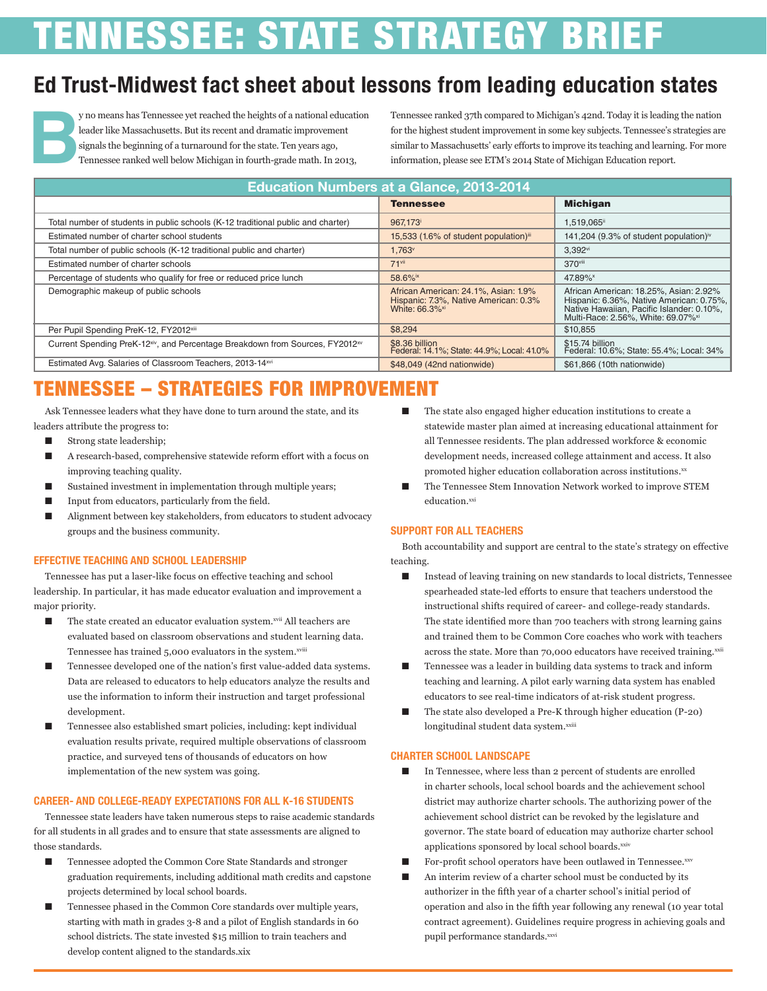# **'ENNESSEE: STATE STRATEGY BRIEF**

## **Ed Trust-Midwest fact sheet about lessons from leading education states**



**By** no means has Tennessee yet reached the heights of a national education leader like Massachusetts. But its recent and dramatic improvement signals the beginning of a turnaround for the state. Ten years ago, Tennessee r leader like Massachusetts. But its recent and dramatic improvement signals the beginning of a turnaround for the state. Ten years ago, Tennessee ranked well below Michigan in fourth-grade math. In 2013,

Tennessee ranked 37th compared to Michigan's 42nd. Today it is leading the nation for the highest student improvement in some key subjects. Tennessee's strategies are similar to Massachusetts' early efforts to improve its teaching and learning. For more information, please see ETM's 2014 State of Michigan Education report.

| <b>Education Numbers at a Glance, 2013-2014</b>                                                       |                                                                                                             |                                                                                                                                                                                   |
|-------------------------------------------------------------------------------------------------------|-------------------------------------------------------------------------------------------------------------|-----------------------------------------------------------------------------------------------------------------------------------------------------------------------------------|
|                                                                                                       | <b>Tennessee</b>                                                                                            | <b>Michigan</b>                                                                                                                                                                   |
| Total number of students in public schools (K-12 traditional public and charter)                      | 967.173                                                                                                     | 1.519.065ii                                                                                                                                                                       |
| Estimated number of charter school students                                                           | 15,533 (1.6% of student population) <sup>iii</sup>                                                          | 141,204 (9.3% of student population) <sup>iv</sup>                                                                                                                                |
| Total number of public schools (K-12 traditional public and charter)                                  | 1,763 <sup>v</sup>                                                                                          | 3,392vi                                                                                                                                                                           |
| Estimated number of charter schools                                                                   | $71$ <sup>vii</sup>                                                                                         | 370viii                                                                                                                                                                           |
| Percentage of students who qualify for free or reduced price lunch                                    | 58.6% <sup>ix</sup>                                                                                         | 47.89% <sup>x</sup>                                                                                                                                                               |
| Demographic makeup of public schools                                                                  | African American: 24.1%, Asian: 1.9%<br>Hispanic: 7.3%, Native American: 0.3%<br>White: 66.3% <sup>xi</sup> | African American: 18.25%, Asian: 2.92%<br>Hispanic: 6.36%, Native American: 0.75%,<br>Native Hawaiian, Pacific Islander: 0.10%,<br>Multi-Race: 2.56%. White: 69.07% <sup>xi</sup> |
| Per Pupil Spending PreK-12, FY2012 <sup>xiii</sup>                                                    | \$8,294                                                                                                     | \$10,855                                                                                                                                                                          |
| Current Spending PreK-12 <sup>xiv</sup> , and Percentage Breakdown from Sources, FY2012 <sup>xv</sup> | \$8.36 billion<br>Federal: 14.1%; State: 44.9%; Local: 41.0%                                                | \$15.74 billion<br>Federal: 10.6%; State: 55.4%; Local: 34%                                                                                                                       |
| Estimated Avg. Salaries of Classroom Teachers, 2013-14xvi                                             | \$48,049 (42nd nationwide)                                                                                  | \$61,866 (10th nationwide)                                                                                                                                                        |

# TENNESSEE – STRATEGIES FOR IMPROVEMENT

Ask Tennessee leaders what they have done to turn around the state, and its leaders attribute the progress to:

- Strong state leadership;
- A research-based, comprehensive statewide reform effort with a focus on improving teaching quality.
- Sustained investment in implementation through multiple years;
- Input from educators, particularly from the field.
- Alignment between key stakeholders, from educators to student advocacy groups and the business community.

#### **EFFECTIVE TEACHING AND SCHOOL LEADERSHIP**

Tennessee has put a laser-like focus on effective teaching and school leadership. In particular, it has made educator evaluation and improvement a major priority.

- The state created an educator evaluation system.<sup>xvii</sup> All teachers are evaluated based on classroom observations and student learning data. Tennessee has trained 5,000 evaluators in the system.xviii
- Tennessee developed one of the nation's first value-added data systems. Data are released to educators to help educators analyze the results and use the information to inform their instruction and target professional development.
- Tennessee also established smart policies, including: kept individual evaluation results private, required multiple observations of classroom practice, and surveyed tens of thousands of educators on how implementation of the new system was going.

#### **CAREER- AND COLLEGE-READY EXPECTATIONS FOR ALL K-16 STUDENTS**

Tennessee state leaders have taken numerous steps to raise academic standards for all students in all grades and to ensure that state assessments are aligned to those standards.

- Tennessee adopted the Common Core State Standards and stronger graduation requirements, including additional math credits and capstone projects determined by local school boards.
- Tennessee phased in the Common Core standards over multiple years, starting with math in grades 3-8 and a pilot of English standards in 60 school districts. The state invested \$15 million to train teachers and develop content aligned to the standards.xix
- The state also engaged higher education institutions to create a statewide master plan aimed at increasing educational attainment for all Tennessee residents. The plan addressed workforce & economic development needs, increased college attainment and access. It also promoted higher education collaboration across institutions.<sup>xx</sup>
- The Tennessee Stem Innovation Network worked to improve STEM education.xxi

#### **SUPPORT FOR ALL TEACHERS**

Both accountability and support are central to the state's strategy on effective teaching.

- Instead of leaving training on new standards to local districts, Tennessee spearheaded state-led efforts to ensure that teachers understood the instructional shifts required of career- and college-ready standards. The state identified more than 700 teachers with strong learning gains and trained them to be Common Core coaches who work with teachers across the state. More than 70,000 educators have received training.xxii
- Tennessee was a leader in building data systems to track and inform teaching and learning. A pilot early warning data system has enabled educators to see real-time indicators of at-risk student progress.
- The state also developed a Pre-K through higher education (P-20) longitudinal student data system.xxiii

#### **CHARTER SCHOOL LANDSCAPE**

- In Tennessee, where less than 2 percent of students are enrolled in charter schools, local school boards and the achievement school district may authorize charter schools. The authorizing power of the achievement school district can be revoked by the legislature and governor. The state board of education may authorize charter school applications sponsored by local school boards.xxiv
- For-profit school operators have been outlawed in Tennessee.xxv
- An interim review of a charter school must be conducted by its authorizer in the fifth year of a charter school's initial period of operation and also in the fifth year following any renewal (10 year total contract agreement). Guidelines require progress in achieving goals and pupil performance standards.xxvi